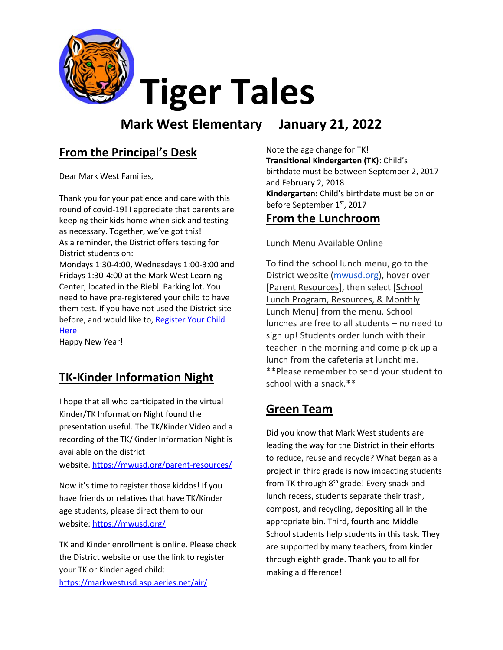

**Mark West Elementary January 21, 2022**

### **From the Principal's Desk**

Dear Mark West Families,

Thank you for your patience and care with this round of covid-19! I appreciate that parents are keeping their kids home when sick and testing as necessary. Together, we've got this! As a reminder, the District offers testing for District students on:

Mondays 1:30-4:00, Wednesdays 1:00-3:00 and Fridays 1:30-4:00 at the Mark West Learning Center, located in the Riebli Parking lot. You need to have pre-registered your child to have them test. If you have not used the District site before, and would like to, Register Your Child **[Here](https://home.color.com/covid/sign-up/start?partner=49708056051841students)** 

Happy New Year!

### **TK-Kinder Information Night**

I hope that all who participated in the virtual Kinder/TK Information Night found the presentation useful. The TK/Kinder Video and a recording of the TK/Kinder Information Night is available on the district

website. <https://mwusd.org/parent-resources/>

Now it's time to register those kiddos! If you have friends or relatives that have TK/Kinder age students, please direct them to our website[: https://mwusd.org/](https://mwusd.org/)

TK and Kinder enrollment is online. Please check the District website or use the link to register your TK or Kinder aged child: <https://markwestusd.asp.aeries.net/air/>

Note the age change for TK! **Transitional Kindergarten (TK)**: Child's birthdate must be between September 2, 2017 and February 2, 2018 **Kindergarten:** Child's birthdate must be on or before September 1<sup>st</sup>, 2017

#### **From the Lunchroom**

Lunch Menu Available Online

To find the school lunch menu, go to the District website [\(mwusd.org\)](http://mwusd.org/), hover over [Parent Resources], then select [School Lunch Program, Resources, & Monthly Lunch Menu] from the menu. School lunches are free to all students – no need to sign up! Students order lunch with their teacher in the morning and come pick up a lunch from the cafeteria at lunchtime. \*\*Please remember to send your student to school with a snack.\*\*

### **Green Team**

Did you know that Mark West students are leading the way for the District in their efforts to reduce, reuse and recycle? What began as a project in third grade is now impacting students from TK through 8<sup>th</sup> grade! Every snack and lunch recess, students separate their trash, compost, and recycling, depositing all in the appropriate bin. Third, fourth and Middle School students help students in this task. They are supported by many teachers, from kinder through eighth grade. Thank you to all for making a difference!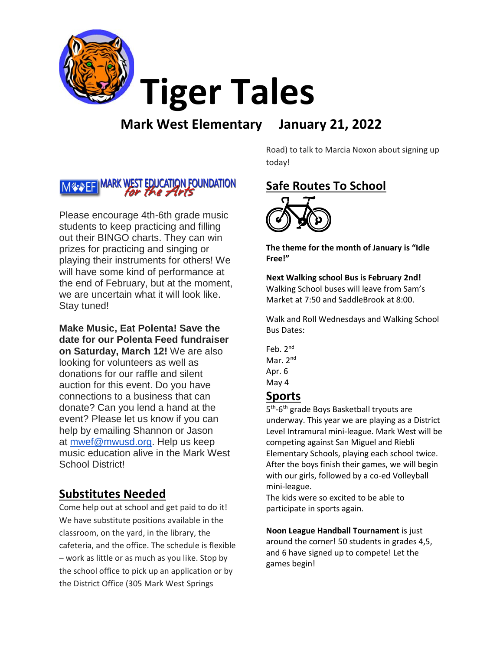

### **Mark West Elementary January 21, 2022**

#### **MARK WEST EDUCATION FOUNDATION** Mstv⊱F

Please encourage 4th-6th grade music students to keep practicing and filling out their BINGO charts. They can win prizes for practicing and singing or playing their instruments for others! We will have some kind of performance at the end of February, but at the moment, we are uncertain what it will look like. Stay tuned!

**Make Music, Eat Polenta! Save the date for our Polenta Feed fundraiser on Saturday, March 12!** We are also looking for volunteers as well as donations for our raffle and silent auction for this event. Do you have connections to a business that can donate? Can you lend a hand at the event? Please let us know if you can help by emailing Shannon or Jason at [mwef@mwusd.org.](mailto:mwef@mwusd.org) Help us keep music education alive in the Mark West School District!

### **Substitutes Needed**

Come help out at school and get paid to do it! We have substitute positions available in the classroom, on the yard, in the library, the cafeteria, and the office. The schedule is flexible – work as little or as much as you like. Stop by the school office to pick up an application or by the District Office (305 Mark West Springs

Road) to talk to Marcia Noxon about signing up today!

# **Safe Routes To School**

**The theme for the month of January is "Idle Free!"**

**Next Walking school Bus is February 2nd!**  Walking School buses will leave from Sam's Market at 7:50 and SaddleBrook at 8:00.

Walk and Roll Wednesdays and Walking School Bus Dates:

Feb. 2<sup>nd</sup> Mar. 2<sup>nd</sup> Apr. 6 May 4

#### **Sports**

5<sup>th</sup>-6<sup>th</sup> grade Boys Basketball tryouts are underway. This year we are playing as a District Level Intramural mini-league. Mark West will be competing against San Miguel and Riebli Elementary Schools, playing each school twice. After the boys finish their games, we will begin with our girls, followed by a co-ed Volleyball mini-league.

The kids were so excited to be able to participate in sports again.

**Noon League Handball Tournament** is just around the corner! 50 students in grades 4,5, and 6 have signed up to compete! Let the games begin!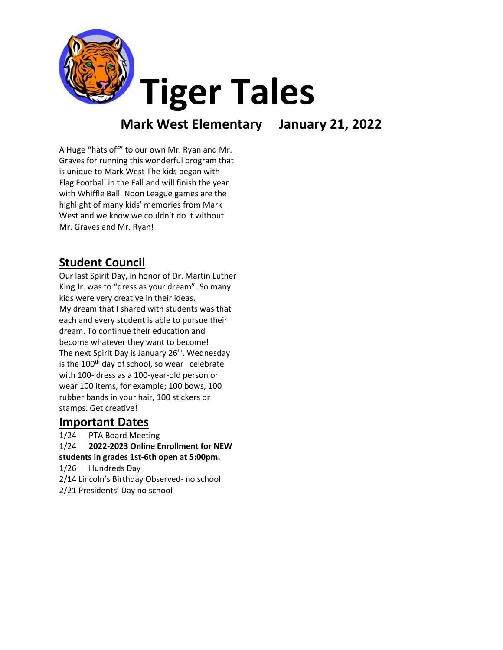

### **Mark West Elementary January 21, 2022**

A Huge "hats off" to our own Mr. Ryan and Mr. Graves for running this wonderful program that is unique to Mark West The kids began with Flag Football in the Fall and will finish the year with Whiffle Ball. Noon League games are the highlight of many kids' memories from Mark West and we know we couldn't do it without Mr. Graves and Mr. Ryan!

### **Student Council**

Our last Spirit Day, in honor of Dr. Martin Luther King Jr. was to "dress as your dream". So many kids were very creative in their ideas. My dream that I shared with students was that each and every student is able to pursue their dream. To continue their education and become whatever they want to become! The next Spirit Day is January  $26<sup>th</sup>$ . Wednesday is the 100<sup>th</sup> day of school, so wear celebrate with 100- dress as a 100-year-old person or wear 100 items, for example; 100 bows, 100 rubber bands in your hair, 100 stickers or stamps. Get creative!

### **Important Dates**

1/24 PTA Board Meeting 1/24 **2022-2023 Online Enrollment for NEW students in grades 1st-6th open at 5:00pm.** 1/26 Hundreds Day 2/14 Lincoln's Birthday Observed- no school 2/21 Presidents' Day no school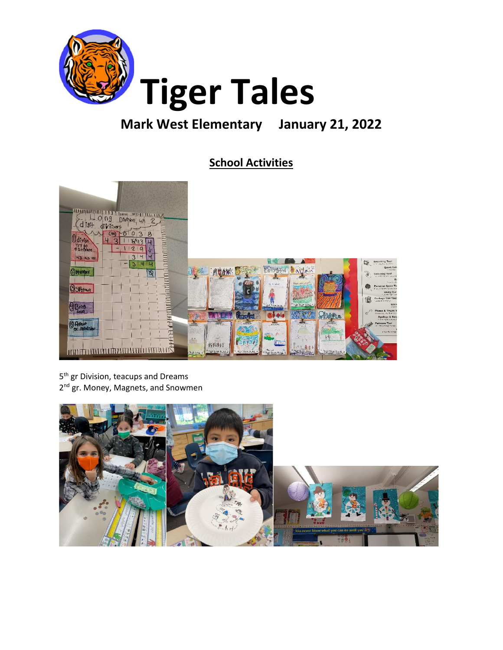

### **Mark West Elementary January 21, 2022**

### **School Activities**



5<sup>th</sup> gr Division, teacups and Dreams 2<sup>nd</sup> gr. Money, Magnets, and Snowmen

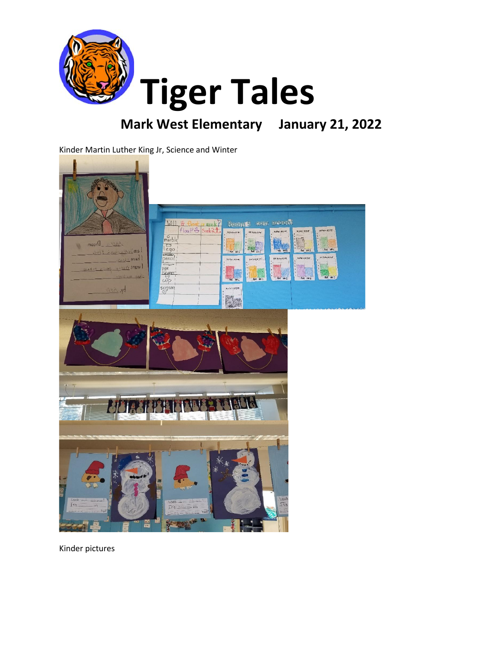

## **Mark West Elementary January 21, 2022**

Kinder Martin Luther King Jr, Science and Winter



Kinder pictures